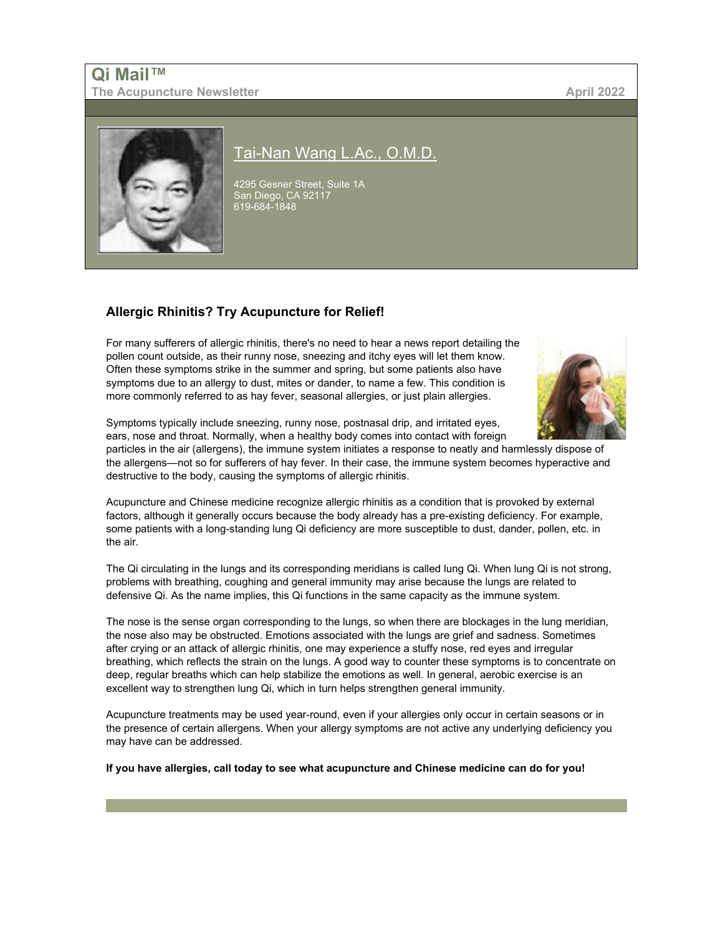## **Qi Mail™ The Acupuncture Newsletter April 2022**



# [Tai-Nan Wang L.Ac., O.M.D.](http://www.acufinder.com/Acupuncturist/86537)

4295 Gesner Street, Suite 1A San Diego, CA 92117 619-684-1848

## **Allergic Rhinitis? Try Acupuncture for Relief!**

For many sufferers of allergic rhinitis, there's no need to hear a news report detailing the pollen count outside, as their runny nose, sneezing and itchy eyes will let them know. Often these symptoms strike in the summer and spring, but some patients also have symptoms due to an allergy to dust, mites or dander, to name a few. This condition is more commonly referred to as hay fever, seasonal allergies, or just plain allergies.



Symptoms typically include sneezing, runny nose, postnasal drip, and irritated eyes, ears, nose and throat. Normally, when a healthy body comes into contact with foreign

particles in the air (allergens), the immune system initiates a response to neatly and harmlessly dispose of the allergens—not so for sufferers of hay fever. In their case, the immune system becomes hyperactive and destructive to the body, causing the symptoms of allergic rhinitis.

Acupuncture and Chinese medicine recognize allergic rhinitis as a condition that is provoked by external factors, although it generally occurs because the body already has a pre-existing deficiency. For example, some patients with a long-standing lung Qi deficiency are more susceptible to dust, dander, pollen, etc. in the air.

The Qi circulating in the lungs and its corresponding meridians is called lung Qi. When lung Qi is not strong, problems with breathing, coughing and general immunity may arise because the lungs are related to defensive Qi. As the name implies, this Qi functions in the same capacity as the immune system.

The nose is the sense organ corresponding to the lungs, so when there are blockages in the lung meridian, the nose also may be obstructed. Emotions associated with the lungs are grief and sadness. Sometimes after crying or an attack of allergic rhinitis, one may experience a stuffy nose, red eyes and irregular breathing, which reflects the strain on the lungs. A good way to counter these symptoms is to concentrate on deep, regular breaths which can help stabilize the emotions as well. In general, aerobic exercise is an excellent way to strengthen lung Qi, which in turn helps strengthen general immunity.

Acupuncture treatments may be used year-round, even if your allergies only occur in certain seasons or in the presence of certain allergens. When your allergy symptoms are not active any underlying deficiency you may have can be addressed.

**If you have allergies, call today to see what acupuncture and Chinese medicine can do for you!**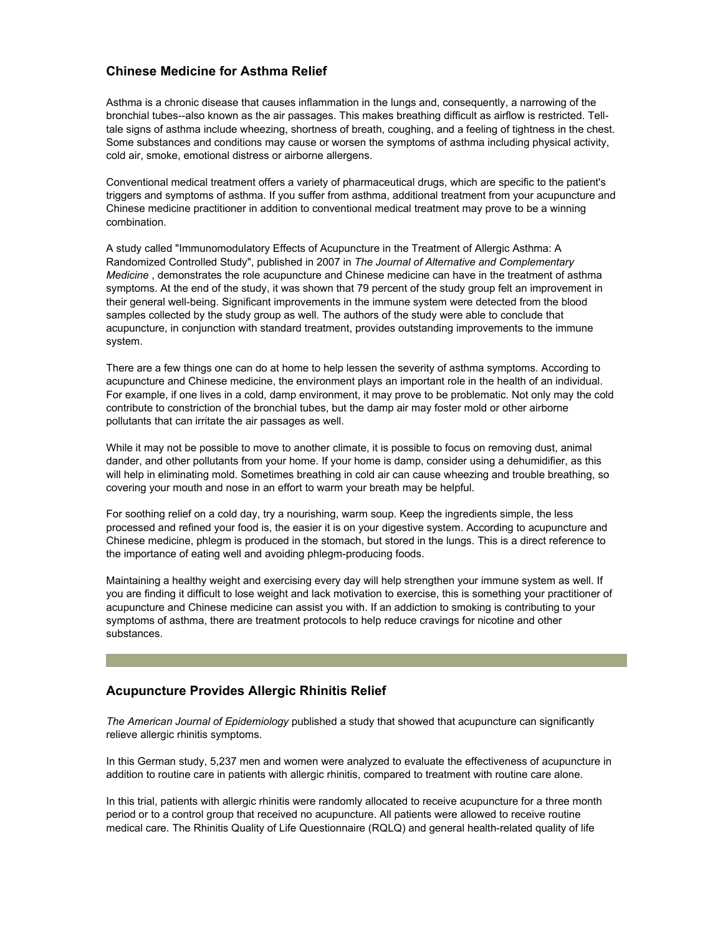### **Chinese Medicine for Asthma Relief**

Asthma is a chronic disease that causes inflammation in the lungs and, consequently, a narrowing of the bronchial tubes--also known as the air passages. This makes breathing difficult as airflow is restricted. Telltale signs of asthma include wheezing, shortness of breath, coughing, and a feeling of tightness in the chest. Some substances and conditions may cause or worsen the symptoms of asthma including physical activity, cold air, smoke, emotional distress or airborne allergens.

Conventional medical treatment offers a variety of pharmaceutical drugs, which are specific to the patient's triggers and symptoms of asthma. If you suffer from asthma, additional treatment from your acupuncture and Chinese medicine practitioner in addition to conventional medical treatment may prove to be a winning combination.

A study called "Immunomodulatory Effects of Acupuncture in the Treatment of Allergic Asthma: A Randomized Controlled Study", published in 2007 in *The Journal of Alternative and Complementary Medicine* , demonstrates the role acupuncture and Chinese medicine can have in the treatment of asthma symptoms. At the end of the study, it was shown that 79 percent of the study group felt an improvement in their general well-being. Significant improvements in the immune system were detected from the blood samples collected by the study group as well. The authors of the study were able to conclude that acupuncture, in conjunction with standard treatment, provides outstanding improvements to the immune system.

There are a few things one can do at home to help lessen the severity of asthma symptoms. According to acupuncture and Chinese medicine, the environment plays an important role in the health of an individual. For example, if one lives in a cold, damp environment, it may prove to be problematic. Not only may the cold contribute to constriction of the bronchial tubes, but the damp air may foster mold or other airborne pollutants that can irritate the air passages as well.

While it may not be possible to move to another climate, it is possible to focus on removing dust, animal dander, and other pollutants from your home. If your home is damp, consider using a dehumidifier, as this will help in eliminating mold. Sometimes breathing in cold air can cause wheezing and trouble breathing, so covering your mouth and nose in an effort to warm your breath may be helpful.

For soothing relief on a cold day, try a nourishing, warm soup. Keep the ingredients simple, the less processed and refined your food is, the easier it is on your digestive system. According to acupuncture and Chinese medicine, phlegm is produced in the stomach, but stored in the lungs. This is a direct reference to the importance of eating well and avoiding phlegm-producing foods.

Maintaining a healthy weight and exercising every day will help strengthen your immune system as well. If you are finding it difficult to lose weight and lack motivation to exercise, this is something your practitioner of acupuncture and Chinese medicine can assist you with. If an addiction to smoking is contributing to your symptoms of asthma, there are treatment protocols to help reduce cravings for nicotine and other substances.

#### **Acupuncture Provides Allergic Rhinitis Relief**

*The American Journal of Epidemiology* published a study that showed that acupuncture can significantly relieve allergic rhinitis symptoms.

In this German study, 5,237 men and women were analyzed to evaluate the effectiveness of acupuncture in addition to routine care in patients with allergic rhinitis, compared to treatment with routine care alone.

In this trial, patients with allergic rhinitis were randomly allocated to receive acupuncture for a three month period or to a control group that received no acupuncture. All patients were allowed to receive routine medical care. The Rhinitis Quality of Life Questionnaire (RQLQ) and general health-related quality of life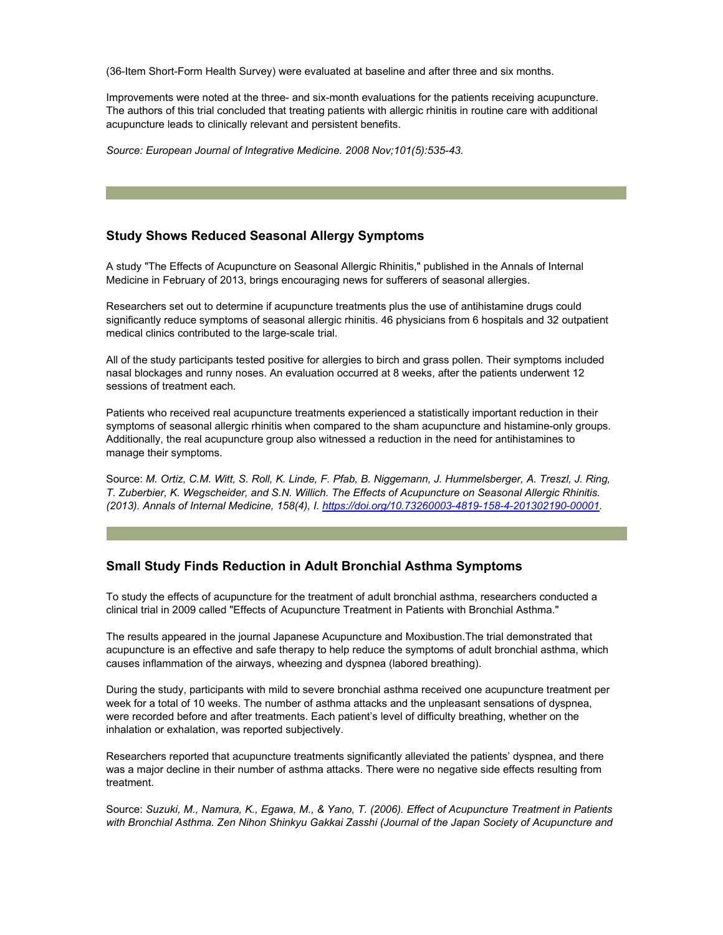(36-Item Short-Form Health Survey) were evaluated at baseline and after three and six months.

Improvements were noted at the three- and six-month evaluations for the patients receiving acupuncture. The authors of this trial concluded that treating patients with allergic rhinitis in routine care with additional acupuncture leads to clinically relevant and persistent benefits.

*Source: European Journal of Integrative Medicine. 2008 Nov;101(5):535-43.*

#### **Study Shows Reduced Seasonal Allergy Symptoms**

A study "The Effects of Acupuncture on Seasonal Allergic Rhinitis," published in the Annals of Internal Medicine in February of 2013, brings encouraging news for sufferers of seasonal allergies.

Researchers set out to determine if acupuncture treatments plus the use of antihistamine drugs could significantly reduce symptoms of seasonal allergic rhinitis. 46 physicians from 6 hospitals and 32 outpatient medical clinics contributed to the large-scale trial.

All of the study participants tested positive for allergies to birch and grass pollen. Their symptoms included nasal blockages and runny noses. An evaluation occurred at 8 weeks, after the patients underwent 12 sessions of treatment each.

Patients who received real acupuncture treatments experienced a statistically important reduction in their symptoms of seasonal allergic rhinitis when compared to the sham acupuncture and histamine-only groups. Additionally, the real acupuncture group also witnessed a reduction in the need for antihistamines to manage their symptoms.

Source: *M. Ortiz, C.M. Witt, S. Roll, K. Linde, F. Pfab, B. Niggemann, J. Hummelsberger, A. Treszl, J. Ring, T. Zuberbier, K. Wegscheider, and S.N. Willich. The Effects of Acupuncture on Seasonal Allergic Rhinitis. (2013). Annals of Internal Medicine, 158(4), I. [https://doi.org/10.73260003-4819-158-4-201302190-00001.](https://doi.org/10.73260003-4819-158-4-201302190-00001)* 

#### **Small Study Finds Reduction in Adult Bronchial Asthma Symptoms**

To study the effects of acupuncture for the treatment of adult bronchial asthma, researchers conducted a clinical trial in 2009 called "Effects of Acupuncture Treatment in Patients with Bronchial Asthma."

The results appeared in the journal Japanese Acupuncture and Moxibustion.The trial demonstrated that acupuncture is an effective and safe therapy to help reduce the symptoms of adult bronchial asthma, which causes inflammation of the airways, wheezing and dyspnea (labored breathing).

During the study, participants with mild to severe bronchial asthma received one acupuncture treatment per week for a total of 10 weeks. The number of asthma attacks and the unpleasant sensations of dyspnea, were recorded before and after treatments. Each patient's level of difficulty breathing, whether on the inhalation or exhalation, was reported subjectively.

Researchers reported that acupuncture treatments significantly alleviated the patients' dyspnea, and there was a major decline in their number of asthma attacks. There were no negative side effects resulting from treatment.

Source: *Suzuki, M., Namura, K., Egawa, M., & Yano, T. (2006). Effect of Acupuncture Treatment in Patients with Bronchial Asthma. Zen Nihon Shinkyu Gakkai Zasshi (Journal of the Japan Society of Acupuncture and*